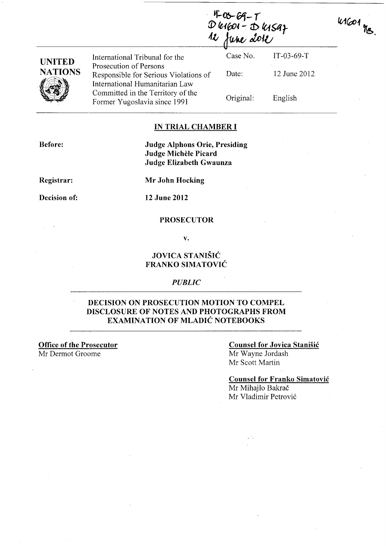*· ij"-Ob-Gi-I*   $D$  12 fune dole

11601 Mg

| <b>UNITED</b><br><b>NATIONS</b><br>Ø | International Tribunal for the                                                                    | Case No.  | $IT-03-69-T$ |  |
|--------------------------------------|---------------------------------------------------------------------------------------------------|-----------|--------------|--|
|                                      | Prosecution of Persons<br>Responsible for Serious Violations of<br>International Humanitarian Law | Date:     | 12 June 2012 |  |
|                                      | Committed in the Territory of the<br>Former Yugoslavia since 1991                                 | Original: | English      |  |

### IN TRIAL CHAMBER I

Before:

### Judge Alphons Orie, Presiding Judge Michèle Picard Judge Elizabeth Gwaunza

Registrar:

Mr John Hocking

Decision of:

12 June 2012

### PROSECUTOR

v.

## JOVICA STANISIC FRANKO SIMATOVIC

#### *PUBLIC*

### DECISION ON PROSECUTION MOTION TO COMPEL DISCLOSURE OF NOTES AND PHOTOGRAPHS FROM EXAMINATION OF MLADIC NOTEBOOKS

Office of the Prosecutor Mr Dermot Groome

## Counsel for Jovica Stanisic

Mr Wayne Jordash Mr Scott Martin

## Counsel for Franko Simatovic

Mr Mihajlo Bakrač Mr Vladimir Petrović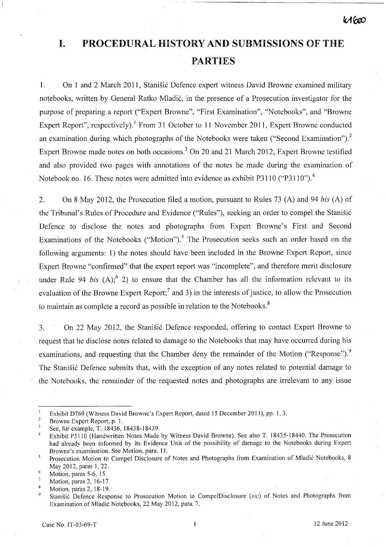# **I. PROCEDURAL HISTORY AND SUBMISSIONS OF THE PARTIES**

1. On 1 and 2 March 2011, Stanišić Defence expert witness David Browne examined military notebooks, written by General Ratko Mladić, in the presence of a Prosecution investigator for the purpose of preparing a report ("Expert Browne", "First Examination", "Notebooks", and "Browne Expert Report", respectively).' From 31 October to **11** November **2011,** Expert Browne conducted an examination during which photographs of the Notebooks were taken ("Second Examination").<sup>2</sup> Expert Browne made notes on both occasions.<sup>3</sup> On 20 and 21 March 2012, Expert Browne testified and also provided two pages with annotations of the notes he made during the examination of Notebook no. 16. These notes were admitted into evidence as exhibit P3110  $("P3110")$ .<sup>4</sup>

2. On 8 May 2012, the Prosecution filed a motion, pursuant to Rules 73 (A) and 94 *bis* (A) of the Tribunal's Rules of Procedure and Evidence ("Rules"), seeking an order to compel the Stanišić Defence to disclose the notes and photographs from Expert Browne's First and Second Examinations of the Notebooks ("Motion").<sup>5</sup> The Prosecution seeks such an order based on the following arguments: 1) the notes should have been included in the Browne Expert Report, since Expert Browne "confirmed" that the expert report was "incomplete", and therefore merit disclosure under Rule 94 *bis*  $(A)$ ;  $(6, 2)$  to ensure that the Chamber has all the information relevant to its evaluation of the Browne Expert Report;<sup>7</sup> and 3) in the interests of justice, to allow the Prosecution to maintain as complete a record as possible in relation to the Notebooks.<sup>8</sup>

3. On 22 May 2012, the Stanisic Defence responded, offering to contact Expert Browne to request that he disclose notes related to damage to the Notebooks that may have occurred during his examinations, and requesting that the Chamber deny the remainder of the Motion ("Response").<sup>9</sup> The Stanišić Defence submits that, with the exception of any notes related to potential damage to the Notebooks, the remainder of the requested notes and photographs are irrelevant to any issue

Exhibit D769 (Witness David Browne's Expert Report, dated 15 December 2011), pp. 1,3.

 $\overline{2}$ Browne Expert Report, p. 1.

 $\overline{\mathbf{3}}$ See, for example, T. 18436, 18438-18439.

Exhibit P3110 (Handwritten Notes Made by Witness David Browne). See also T. 18435-18440. The Prosecution  $\overline{4}$ had already been informed by its Evidence Unit of the possibility of damage to the Notebooks during Expert Browne's examination. See Motion, para. 11.

Prosecution Motion to Compel Disclosure of Notes and Photographs from Examination of Mladić Notebooks, 8 5 May 2012, paras 1,22.

 $\ddot{6}$ Motion, paras 5-6, 15.

 $\overline{7}$ Motion, paras 2,16-17.

 $\boldsymbol{8}$ Motion, paras 2,18-19.

Stanišić Defence Response to Prosecution Motion to CompelDisclosure *(sic)* of Notes and Photographs from Examination of Mladić Notebooks, 22 May 2012, para. 7.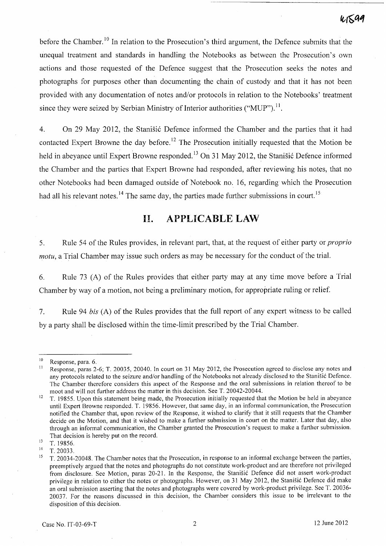before the Chamber.<sup>10</sup> In relation to the Prosecution's third argument, the Defence submits that the unequal treatment and standards in handling the Notebooks as between the Prosecution's own actions and those requested of the Defence suggest that the Prosecution seeks the notes and photographs for purposes other than documenting the chain of custody and that it has not been provided with any documentation of notes and/or protocols in relation to the Notebooks' treatment since they were seized by Serbian Ministry of Interior authorities ("MUP").<sup>11</sup>.

4. On 29 May 2012, the Stanisic Defence informed the Chamber and the parties that it had contacted Expert Browne the day before.<sup>12</sup> The Prosecution initially requested that the Motion be held in abeyance until Expert Browne responded.<sup>13</sup> On 31 May 2012, the Stanisić Defence informed the Chamber and the parties that Expert Browne had responded, after reviewing his notes, that no other Notebooks had been damaged outside of Notebook no. 16, regarding which the Prosecution had all his relevant notes.<sup>14</sup> The same day, the parties made further submissions in court.<sup>15</sup>

# **11. APPLICABLE LAW**

5. Rule 54 of the Rules provides, in relevant part, that, at the request of either party or *proprio motu*, a Trial Chamber may issue such orders as may be necessary for the conduct of the trial.

6. Rule 73 (A) of the Rules provides that either party may at any time move before a Trial Chamber by way of a motion, not being a preliminary motion, for appropriate ruling or relief.

7. Rule 94 *bis* (A) of the Rules provides that the full report of any expert witness to be called by a party shall be disclosed within the time-limit prescribed by the Trial Chamber.

 $\frac{10}{11}$  Response, para. 6.

Response, paras 2-6; T. 20035, 20040. In court on 31 May 2012, the Prosecution agreed to disclose any notes and any protocols related to the seizure and/or handling of the Notebooks not already disclosed to the Stanisic Defence. The Chamber therefore considers this aspect of the Response and the oral submissions in relation thereof to be moot and will not further address the matter in this decision. See T. 20042-20044.

<sup>&</sup>lt;sup>12</sup> T. 19855. Upon this statement being made, the Prosecution initially requested that the Motion be held in abeyance until Expert Browne responded. T. 19856. However, that same day, in an informal communication, the Prosecution notified the Chamber that, upon review of the Response, it wished to clarify that it still requests that the Chamber decide on the Motion, and that it wished to make a further submission in court on the matter. Later that day, also through an informal communication, the Chamber granted the Prosecution's request to make a further submission. That decision is hereby put on the record.

 $13$  T. 19856.

T. 20033.

<sup>&</sup>lt;sup>15</sup> T. 20034-20048. The Chamber notes that the Prosecution, in response to an informal exchange between the parties, preemptively argued that the notes and photographs do not constitute work-product and are therefore not privileged from disclosure. See Motion, paras 20-21. In the Response, the Stanisic Defence did not assert work-product privilege in relation to either the notes or photographs. However, on 31 May 2012, the Stanisic Defence did make an oral submission asserting that the notes and photographs were covered by work-product privilege. See T. 20036- 20037. For the reasons discussed in this decision, the Chamber considers this issue to be irrelevant to the disposition of this decision.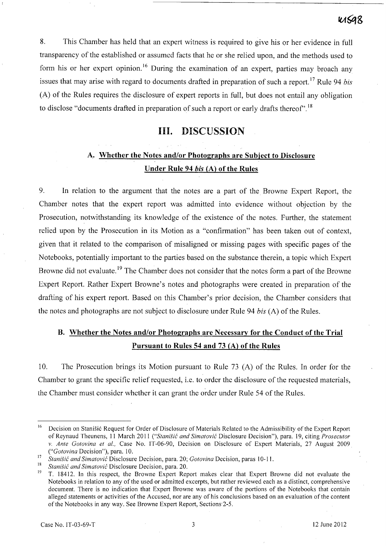8. This Chamber has held that an expert witness is required to give his or her evidence in full transparency of the established or assumed facts that he or she relied upon, and the methods used to form his or her expert opinion.<sup>16</sup> During the examination of an expert, parties may broach any issues that may arise with regard to documents drafted in preparation of such a report.<sup>17</sup> Rule 94 *bis* (A) of the Rules requires the disclosure of expert reports in full, but does not entail any obligation to disclose "documents drafted in preparation of such a report or early drafts thereof".<sup>18</sup>

## **Ill.** DISCUSSION

# A. Whether the Notes and/or Photographs are Subject to Disclosure Under Rule 94 *his* (A) of the Rules

9. In relation to the argument that the notes are a part of the Browne Expert Report, the Chamber notes that the expert report was admitted into evidence without objection by the Prosecution, notwithstanding its knowledge of the existence of the notes. Further, the statement relied upon by the Prosecution in its Motion as a "confirmation" has been taken out of context, given that it related to the comparison of misaligned or missing pages with specific pages of the Notebooks, potentially important to the parties based on the substance therein, a topic which Expert Browne did not evaluate.<sup>19</sup> The Chamber does not consider that the notes form a part of the Browne Expert Report. Rather Expert Browne's notes and photographs were created in preparation of the drafting of his expert report. Based on this Chamber's prior decision, the Chamber considers that the notes and photographs are not subject to disclosure under Rule 94 *bis* (A) of the Rules.

# B. Whether the Notes and/or Photographs are Necessary for the Conduct of the Trial Pursuant to Rules 54 and 73 (A) of the Rules

10. The Prosecution brings its Motion pursuant to Rule 73 (A) of the Rules. In order for the Chamber to grant the specific relief requested, i.e. to order the disclosure of the requested materials, the Chamber must consider whether it can grant the order under Rule 54 of the Rules.

<sup>&</sup>lt;sup>16</sup> Decision on Stanišić Request for Order of Disclosure of Materials Related to the Admissibility of the Expert Report of Reynaud Theunens, 11 March 2011 *("Stanisic and Simatovic* Disclosure Decision"), para. 19, citing *Prosecutor*  v. *Ante Gotovina et aI.,* Case No. IT-06-90, Decision on Disclosure of Expert Materials, 27 August 2009 *("Gotovina* Decision"), para. 10.

<sup>17</sup>*Stanisic and Simatovic* Disclosure Decision, para. 20; *Gotovina* Decision, paras 10-11.

<sup>&</sup>lt;sup>18</sup> *Stanišić and Simatović* Disclosure Decision, para. 20.<br><sup>19</sup> T 18412 In this respect, the Browne Expert Ber

<sup>19</sup>T. 18412. In this respect, the Browne Expert Report makes clear that Expert Browne did not evaluate the Notebooks in relation to any of the used or admitted excerpts, but rather reviewed each as a distinct, comprehensive document. There is no indication that Expert Browne was aware of the portions of the Notebooks that contain alleged statements or activities of the Accused, nor are any of his conclusions based on an evaluation of the content of the Notebooks in any way. See Browne Expert Report, Sections·2-5.